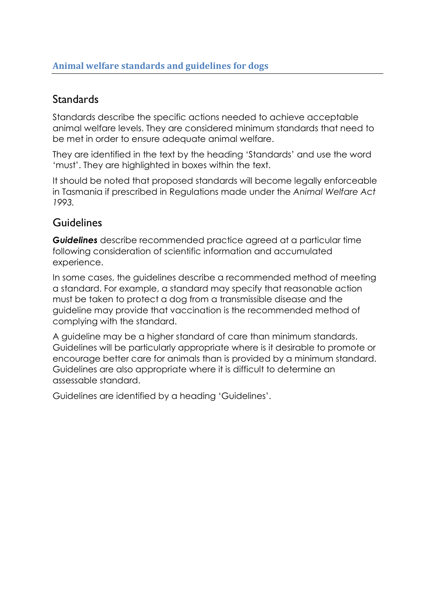### **Standards**

Standards describe the specific actions needed to achieve acceptable animal welfare levels. They are considered minimum standards that need to be met in order to ensure adequate animal welfare.

They are identified in the text by the heading 'Standards' and use the word 'must'. They are highlighted in boxes within the text.

It should be noted that proposed standards will become legally enforceable in Tasmania if prescribed in Regulations made under the *Animal Welfare Act 1993.*

### Guidelines

*Guidelines* describe recommended practice agreed at a particular time following consideration of scientific information and accumulated experience.

In some cases, the guidelines describe a recommended method of meeting a standard. For example, a standard may specify that reasonable action must be taken to protect a dog from a transmissible disease and the guideline may provide that vaccination is the recommended method of complying with the standard.

A guideline may be a higher standard of care than minimum standards. Guidelines will be particularly appropriate where is it desirable to promote or encourage better care for animals than is provided by a minimum standard. Guidelines are also appropriate where it is difficult to determine an assessable standard.

Guidelines are identified by a heading 'Guidelines'.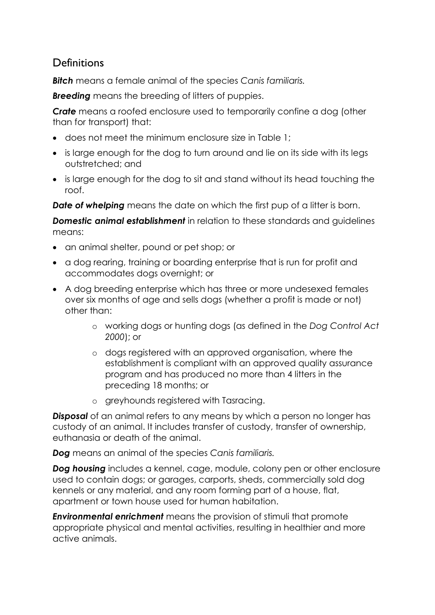### **Definitions**

*Bitch* means a female animal of the species *Canis familiaris.*

**Breeding** means the breeding of litters of puppies.

*Crate* means a roofed enclosure used to temporarily confine a dog (other than for transport) that:

- does not meet the minimum enclosure size in Table 1;
- is large enough for the dog to turn around and lie on its side with its legs outstretched; and
- is large enough for the dog to sit and stand without its head touching the roof.

**Date of whelping** means the date on which the first pup of a litter is born.

*Domestic animal establishment* in relation to these standards and guidelines means:

- an animal shelter, pound or pet shop; or
- a dog rearing, training or boarding enterprise that is run for profit and accommodates dogs overnight; or
- A dog breeding enterprise which has three or more undesexed females over six months of age and sells dogs (whether a profit is made or not) other than:
	- o working dogs or hunting dogs (as defined in the *Dog Control Act 2000*); or
	- o dogs registered with an approved organisation, where the establishment is compliant with an approved quality assurance program and has produced no more than 4 litters in the preceding 18 months; or
	- o greyhounds registered with Tasracing.

**Disposal** of an animal refers to any means by which a person no longer has custody of an animal. It includes transfer of custody, transfer of ownership, euthanasia or death of the animal.

*Dog* means an animal of the species *Canis familiaris.*

*Dog housing* includes a kennel, cage, module, colony pen or other enclosure used to contain dogs; or garages, carports, sheds, commercially sold dog kennels or any material, and any room forming part of a house, flat, apartment or town house used for human habitation.

**Environmental enrichment** means the provision of stimuli that promote appropriate physical and mental activities, resulting in healthier and more active animals.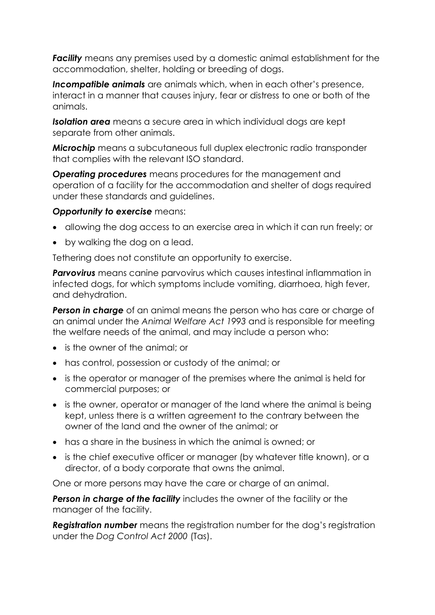*Facility* means any premises used by a domestic animal establishment for the accommodation, shelter, holding or breeding of dogs.

*Incompatible animals* are animals which, when in each other's presence, interact in a manner that causes injury, fear or distress to one or both of the animals.

*Isolation area* means a secure area in which individual dogs are kept separate from other animals.

*Microchip* means a subcutaneous full duplex electronic radio transponder that complies with the relevant ISO standard.

*Operating procedures* means procedures for the management and operation of a facility for the accommodation and shelter of dogs required under these standards and guidelines.

#### **Opportunity to exercise** means:

- allowing the dog access to an exercise area in which it can run freely; or
- by walking the dog on a lead.

Tethering does not constitute an opportunity to exercise.

*Parvovirus* means canine parvovirus which causes intestinal inflammation in infected dogs, for which symptoms include vomiting, diarrhoea, high fever, and dehydration.

**Person in charge** of an animal means the person who has care or charge of an animal under the *Animal Welfare Act 1993* and is responsible for meeting the welfare needs of the animal, and may include a person who:

- is the owner of the animal; or
- has control, possession or custody of the animal; or
- is the operator or manager of the premises where the animal is held for commercial purposes; or
- is the owner, operator or manager of the land where the animal is being kept, unless there is a written agreement to the contrary between the owner of the land and the owner of the animal; or
- has a share in the business in which the animal is owned; or
- is the chief executive officer or manager (by whatever title known), or a director, of a body corporate that owns the animal.

One or more persons may have the care or charge of an animal.

**Person in charge of the facility** includes the owner of the facility or the manager of the facility.

*Registration number* means the registration number for the dog's registration under the *Dog Control Act 2000* (Tas).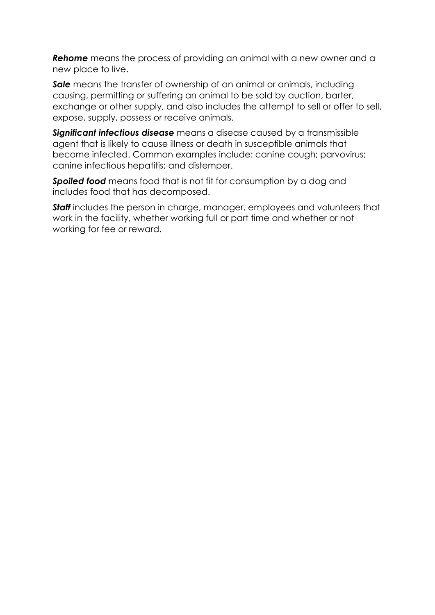*Rehome* means the process of providing an animal with a new owner and a new place to live.

**Sale** means the transfer of ownership of an animal or animals, including causing, permitting or suffering an animal to be sold by auction, barter, exchange or other supply, and also includes the attempt to sell or offer to sell, expose, supply, possess or receive animals.

*Significant infectious disease* means a disease caused by a transmissible agent that is likely to cause illness or death in susceptible animals that become infected. Common examples include: canine cough; parvovirus; canine infectious hepatitis; and distemper.

*Spoiled food* means food that is not fit for consumption by a dog and includes food that has decomposed.

**Staff** includes the person in charge, manager, employees and volunteers that work in the facility, whether working full or part time and whether or not working for fee or reward.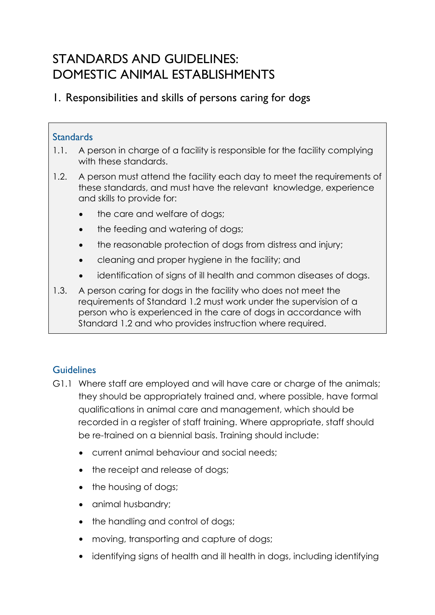# STANDARDS AND GUIDELINES: DOMESTIC ANIMAL ESTABLISHMENTS

### 1. Responsibilities and skills of persons caring for dogs

#### **Standards**

- 1.1. A person in charge of a facility is responsible for the facility complying with these standards.
- 1.2. A person must attend the facility each day to meet the requirements of these standards, and must have the relevant knowledge, experience and skills to provide for:
	- the care and welfare of dogs;
	- the feeding and watering of dogs;
	- the reasonable protection of doas from distress and injury;
	- cleaning and proper hygiene in the facility; and
	- identification of signs of ill health and common diseases of dogs.
- 1.3. A person caring for dogs in the facility who does not meet the requirements of Standard 1.2 must work under the supervision of a person who is experienced in the care of dogs in accordance with Standard 1.2 and who provides instruction where required.

- G1.1 Where staff are employed and will have care or charge of the animals; they should be appropriately trained and, where possible, have formal qualifications in animal care and management, which should be recorded in a register of staff training. Where appropriate, staff should be re-trained on a biennial basis. Training should include:
	- current animal behaviour and social needs;
	- the receipt and release of dogs;
	- the housing of dogs;
	- animal husbandry;
	- the handling and control of dogs;
	- moving, transporting and capture of dogs;
	- identifying signs of health and ill health in dogs, including identifying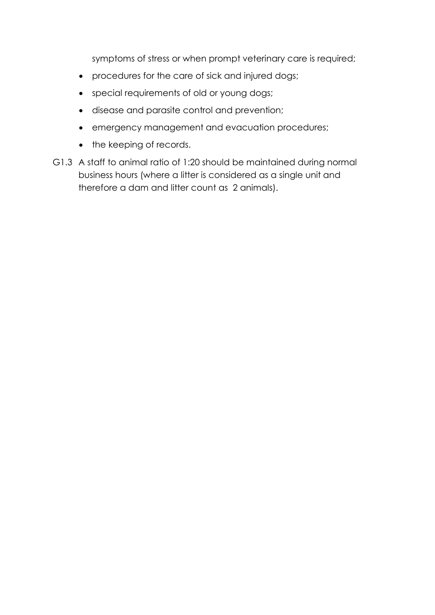symptoms of stress or when prompt veterinary care is required;

- procedures for the care of sick and injured dogs;
- special requirements of old or young dogs;
- disease and parasite control and prevention;
- emergency management and evacuation procedures;
- the keeping of records.
- G1.3 A staff to animal ratio of 1:20 should be maintained during normal business hours (where a litter is considered as a single unit and therefore a dam and litter count as 2 animals).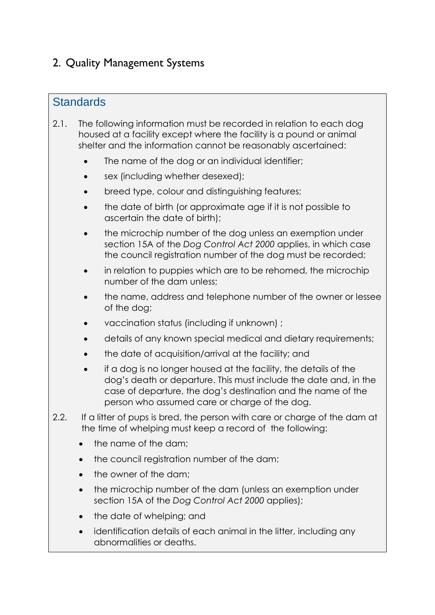# 2. Quality Management Systems

### **Standards**

- 2.1. The following information must be recorded in relation to each dog housed at a facility except where the facility is a pound or animal shelter and the information cannot be reasonably ascertained:
	- The name of the dog or an individual identifier;
	- sex (including whether desexed);
	- breed type, colour and distinguishing features;
	- the date of birth (or approximate age if it is not possible to ascertain the date of birth);
	- the microchip number of the dog unless an exemption under section 15A of the *Dog Control Act 2000* applies, in which case the council registration number of the dog must be recorded;
	- in relation to puppies which are to be rehomed, the microchip number of the dam unless;
	- the name, address and telephone number of the owner or lessee of the dog;
	- vaccination status (including if unknown) ;
	- details of any known special medical and dietary requirements;
	- the date of acquisition/arrival at the facility; and
	- if a dog is no longer housed at the facility, the details of the dog's death or departure. This must include the date and, in the case of departure, the dog's destination and the name of the person who assumed care or charge of the dog.
- 2.2. If a litter of pups is bred, the person with care or charge of the dam at the time of whelping must keep a record of the following:
	- the name of the dam;
	- the council registration number of the dam;
	- the owner of the dam;
	- the microchip number of the dam (unless an exemption under section 15A of the *Dog Control Act 2000* applies);
	- the date of whelping; and
	- identification details of each animal in the litter, including any abnormalities or deaths.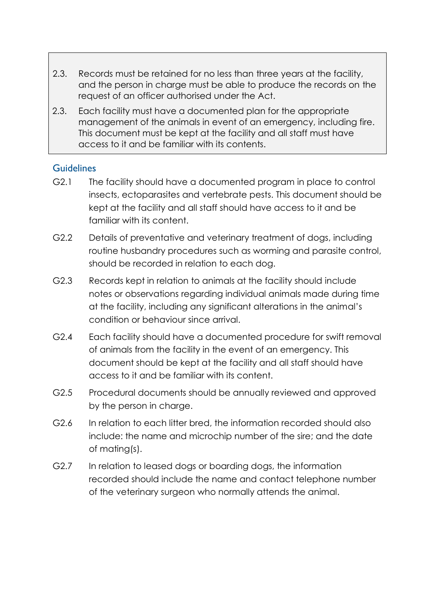- 2.3. Records must be retained for no less than three years at the facility, and the person in charge must be able to produce the records on the request of an officer authorised under the Act.
- 2.3. Each facility must have a documented plan for the appropriate management of the animals in event of an emergency, including fire. This document must be kept at the facility and all staff must have access to it and be familiar with its contents.

- G2.1 The facility should have a documented program in place to control insects, ectoparasites and vertebrate pests. This document should be kept at the facility and all staff should have access to it and be familiar with its content.
- G2.2 Details of preventative and veterinary treatment of dogs, including routine husbandry procedures such as worming and parasite control, should be recorded in relation to each dog.
- G2.3 Records kept in relation to animals at the facility should include notes or observations regarding individual animals made during time at the facility, including any significant alterations in the animal's condition or behaviour since arrival.
- G2.4 Each facility should have a documented procedure for swift removal of animals from the facility in the event of an emergency. This document should be kept at the facility and all staff should have access to it and be familiar with its content.
- G2.5 Procedural documents should be annually reviewed and approved by the person in charge.
- G2.6 In relation to each litter bred, the information recorded should also include: the name and microchip number of the sire; and the date of mating(s).
- G2.7 In relation to leased dogs or boarding dogs, the information recorded should include the name and contact telephone number of the veterinary surgeon who normally attends the animal.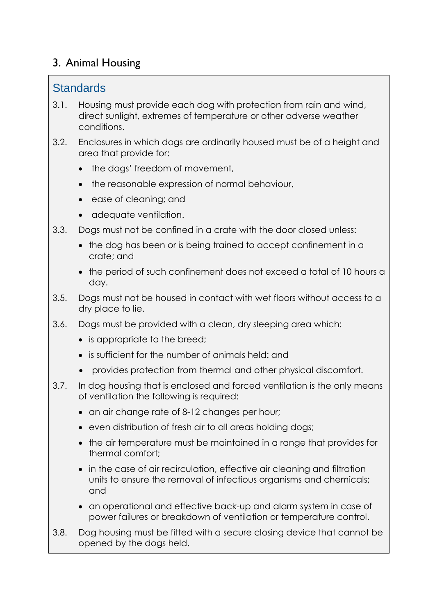## 3. Animal Housing

### **Standards**

- 3.1. Housing must provide each dog with protection from rain and wind, direct sunlight, extremes of temperature or other adverse weather conditions.
- 3.2. Enclosures in which dogs are ordinarily housed must be of a height and area that provide for:
	- the dogs' freedom of movement,
	- the reasonable expression of normal behaviour,
	- ease of cleaning; and
	- adequate ventilation.
- 3.3. Dogs must not be confined in a crate with the door closed unless:
	- the dog has been or is being trained to accept confinement in a crate; and
	- the period of such confinement does not exceed a total of 10 hours a day.
- 3.5. Dogs must not be housed in contact with wet floors without access to a dry place to lie.
- 3.6. Dogs must be provided with a clean, dry sleeping area which:
	- is appropriate to the breed;
	- is sufficient for the number of animals held: and
	- provides protection from thermal and other physical discomfort.
- 3.7. In dog housing that is enclosed and forced ventilation is the only means of ventilation the following is required:
	- an air change rate of 8-12 changes per hour;
	- even distribution of fresh air to all areas holding dogs;
	- the air temperature must be maintained in a range that provides for thermal comfort;
	- in the case of air recirculation, effective air cleaning and filtration units to ensure the removal of infectious organisms and chemicals; and
	- an operational and effective back-up and alarm system in case of power failures or breakdown of ventilation or temperature control.
- 3.8. Dog housing must be fitted with a secure closing device that cannot be opened by the dogs held.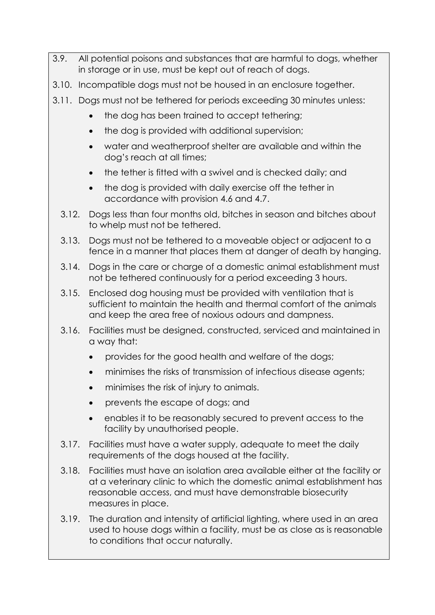- 3.9. All potential poisons and substances that are harmful to dogs, whether in storage or in use, must be kept out of reach of dogs.
- 3.10. Incompatible dogs must not be housed in an enclosure together.
- 3.11. Dogs must not be tethered for periods exceeding 30 minutes unless:
	- the dog has been trained to accept tethering;
	- the dog is provided with additional supervision;
	- water and weatherproof shelter are available and within the dog's reach at all times;
	- the tether is fitted with a swivel and is checked daily; and
	- the dog is provided with daily exercise off the tether in accordance with provision 4.6 and 4.7.
	- 3.12. Dogs less than four months old, bitches in season and bitches about to whelp must not be tethered.
	- 3.13. Dogs must not be tethered to a moveable object or adjacent to a fence in a manner that places them at danger of death by hanging.
	- 3.14. Dogs in the care or charge of a domestic animal establishment must not be tethered continuously for a period exceeding 3 hours.
	- 3.15. Enclosed dog housing must be provided with ventilation that is sufficient to maintain the health and thermal comfort of the animals and keep the area free of noxious odours and dampness.
	- 3.16. Facilities must be designed, constructed, serviced and maintained in a way that:
		- provides for the good health and welfare of the dogs;
		- minimises the risks of transmission of infectious disease agents;
		- minimises the risk of injury to animals.
		- prevents the escape of dogs; and
		- enables it to be reasonably secured to prevent access to the facility by unauthorised people.
	- 3.17. Facilities must have a water supply, adequate to meet the daily requirements of the dogs housed at the facility.
	- 3.18. Facilities must have an isolation area available either at the facility or at a veterinary clinic to which the domestic animal establishment has reasonable access, and must have demonstrable biosecurity measures in place.
	- 3.19. The duration and intensity of artificial lighting, where used in an area used to house dogs within a facility, must be as close as is reasonable to conditions that occur naturally.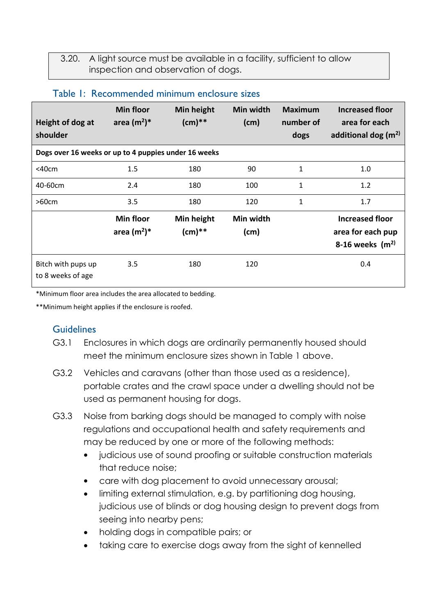3.20. A light source must be available in a facility, sufficient to allow inspection and observation of dogs.

| Height of dog at<br>shoulder                         | <b>Min floor</b><br>area $(m^2)^*$ | Min height<br>$(cm)**$ | Min width<br>(cm) | <b>Maximum</b><br>number of<br>dogs | <b>Increased floor</b><br>area for each<br>additional dog $(m2)$ |  |  |
|------------------------------------------------------|------------------------------------|------------------------|-------------------|-------------------------------------|------------------------------------------------------------------|--|--|
| Dogs over 16 weeks or up to 4 puppies under 16 weeks |                                    |                        |                   |                                     |                                                                  |  |  |
| $<$ 40 $cm$                                          | 1.5                                | 180                    | 90                | $\mathbf{1}$                        | 1.0                                                              |  |  |
| 40-60cm                                              | 2.4                                | 180                    | 100               | $\mathbf{1}$                        | 1.2                                                              |  |  |
| >60cm                                                | 3.5                                | 180                    | 120               | $\mathbf{1}$                        | 1.7                                                              |  |  |
|                                                      | <b>Min floor</b><br>area $(m^2)^*$ | Min height<br>$(cm)**$ | Min width<br>(cm) |                                     | <b>Increased floor</b><br>area for each pup<br>8-16 weeks $(m2)$ |  |  |
| Bitch with pups up<br>to 8 weeks of age              | 3.5                                | 180                    | 120               |                                     | 0.4                                                              |  |  |

#### Table 1: Recommended minimum enclosure sizes

\*Minimum floor area includes the area allocated to bedding.

\*\*Minimum height applies if the enclosure is roofed.

- G3.1 Enclosures in which dogs are ordinarily permanently housed should meet the minimum enclosure sizes shown in Table 1 above.
- G3.2 Vehicles and caravans (other than those used as a residence), portable crates and the crawl space under a dwelling should not be used as permanent housing for dogs.
- G3.3 Noise from barking dogs should be managed to comply with noise regulations and occupational health and safety requirements and may be reduced by one or more of the following methods:
	- judicious use of sound proofing or suitable construction materials that reduce noise;
	- care with dog placement to avoid unnecessary arousal;
	- limiting external stimulation, e.g. by partitioning dog housing, judicious use of blinds or dog housing design to prevent dogs from seeing into nearby pens;
	- holding dogs in compatible pairs; or
	- taking care to exercise dogs away from the sight of kennelled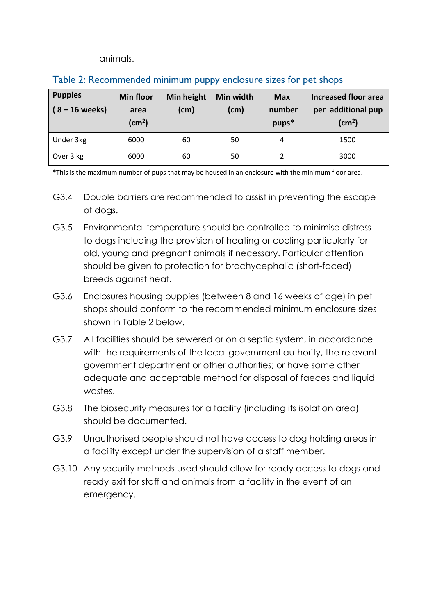animals.

| <b>Puppies</b><br>$(8 - 16$ weeks) | Min floor<br>area<br>(cm <sup>2</sup> ) | Min height<br>$\mathsf{(cm)}$ | Min width<br>(cm) | <b>Max</b><br>number<br>pups* | <b>Increased floor area</b><br>per additional pup<br>(cm <sup>2</sup> ) |
|------------------------------------|-----------------------------------------|-------------------------------|-------------------|-------------------------------|-------------------------------------------------------------------------|
| Under 3kg                          | 6000                                    | 60                            | 50                | 4                             | 1500                                                                    |
| Over 3 kg                          | 6000                                    | 60                            | 50                |                               | 3000                                                                    |

#### Table 2: Recommended minimum puppy enclosure sizes for pet shops

\*This is the maximum number of pups that may be housed in an enclosure with the minimum floor area.

- G3.4 Double barriers are recommended to assist in preventing the escape of dogs.
- G3.5 Environmental temperature should be controlled to minimise distress to dogs including the provision of heating or cooling particularly for old, young and pregnant animals if necessary. Particular attention should be given to protection for brachycephalic (short-faced) breeds against heat.
- G3.6 Enclosures housing puppies (between 8 and 16 weeks of age) in pet shops should conform to the recommended minimum enclosure sizes shown in Table 2 below.
- G3.7 All facilities should be sewered or on a septic system, in accordance with the requirements of the local government authority, the relevant government department or other authorities; or have some other adequate and acceptable method for disposal of faeces and liquid wastes.
- G3.8 The biosecurity measures for a facility (including its isolation area) should be documented.
- G3.9 Unauthorised people should not have access to dog holding areas in a facility except under the supervision of a staff member.
- G3.10 Any security methods used should allow for ready access to dogs and ready exit for staff and animals from a facility in the event of an emergency.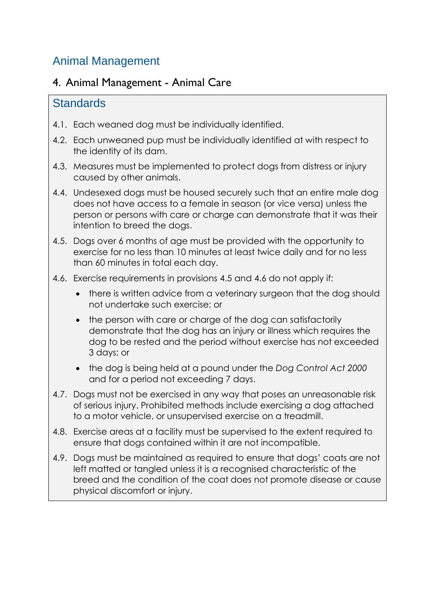# Animal Management

### 4. Animal Management - Animal Care

### **Standards**

- 4.1. Each weaned dog must be individually identified.
- 4.2. Each unweaned pup must be individually identified at with respect to the identity of its dam.
- 4.3. Measures must be implemented to protect dogs from distress or injury caused by other animals.
- 4.4. Undesexed dogs must be housed securely such that an entire male dog does not have access to a female in season (or vice versa) unless the person or persons with care or charge can demonstrate that it was their intention to breed the dogs.
- 4.5. Dogs over 6 months of age must be provided with the opportunity to exercise for no less than 10 minutes at least twice daily and for no less than 60 minutes in total each day.
- 4.6. Exercise requirements in provisions 4.5 and 4.6 do not apply if:
	- there is written advice from a veterinary surgeon that the dog should not undertake such exercise; or
	- the person with care or charge of the dog can satisfactorily demonstrate that the dog has an injury or illness which requires the dog to be rested and the period without exercise has not exceeded 3 days; or
	- the dog is being held at a pound under the *Dog Control Act 2000* and for a period not exceeding 7 days.
- 4.7. Dogs must not be exercised in any way that poses an unreasonable risk of serious injury. Prohibited methods include exercising a dog attached to a motor vehicle, or unsupervised exercise on a treadmill.
- 4.8. Exercise areas at a facility must be supervised to the extent required to ensure that dogs contained within it are not incompatible.
- 4.9. Dogs must be maintained as required to ensure that dogs' coats are not left matted or tangled unless it is a recognised characteristic of the breed and the condition of the coat does not promote disease or cause physical discomfort or injury.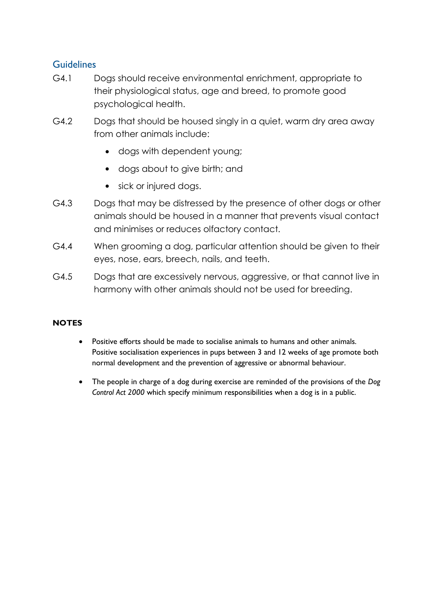#### **Guidelines**

- G4.1 Dogs should receive environmental enrichment, appropriate to their physiological status, age and breed, to promote good psychological health.
- G4.2 Dogs that should be housed singly in a quiet, warm dry area away from other animals include:
	- dogs with dependent young;
	- dogs about to give birth; and
	- sick or injured dogs.
- G4.3 Dogs that may be distressed by the presence of other dogs or other animals should be housed in a manner that prevents visual contact and minimises or reduces olfactory contact.
- G4.4 When grooming a dog, particular attention should be given to their eyes, nose, ears, breech, nails, and teeth.
- G4.5 Dogs that are excessively nervous, aggressive, or that cannot live in harmony with other animals should not be used for breeding.

#### **NOTES**

- Positive efforts should be made to socialise animals to humans and other animals. Positive socialisation experiences in pups between 3 and 12 weeks of age promote both normal development and the prevention of aggressive or abnormal behaviour.
- The people in charge of a dog during exercise are reminded of the provisions of the *Dog Control Act 2000* which specify minimum responsibilities when a dog is in a public.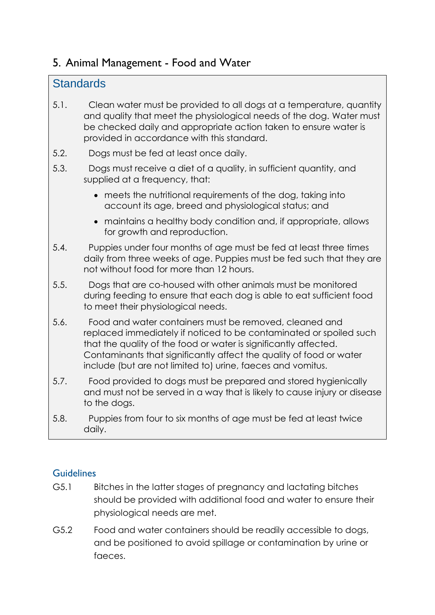# 5. Animal Management - Food and Water

## **Standards**

- 5.1. Clean water must be provided to all dogs at a temperature, quantity and quality that meet the physiological needs of the dog. Water must be checked daily and appropriate action taken to ensure water is provided in accordance with this standard.
- 5.2. Dogs must be fed at least once daily.
- 5.3. Dogs must receive a diet of a quality, in sufficient quantity, and supplied at a frequency, that:
	- meets the nutritional requirements of the dog, taking into account its age, breed and physiological status; and
	- maintains a healthy body condition and, if appropriate, allows for growth and reproduction.
- 5.4. Puppies under four months of age must be fed at least three times daily from three weeks of age. Puppies must be fed such that they are not without food for more than 12 hours.
- 5.5. Dogs that are co-housed with other animals must be monitored during feeding to ensure that each dog is able to eat sufficient food to meet their physiological needs.
- 5.6. Food and water containers must be removed, cleaned and replaced immediately if noticed to be contaminated or spoiled such that the quality of the food or water is significantly affected. Contaminants that significantly affect the quality of food or water include (but are not limited to) urine, faeces and vomitus.
- 5.7. Food provided to dogs must be prepared and stored hygienically and must not be served in a way that is likely to cause injury or disease to the dogs.
- 5.8. Puppies from four to six months of age must be fed at least twice daily.

- G5.1 Bitches in the latter stages of pregnancy and lactating bitches should be provided with additional food and water to ensure their physiological needs are met.
- G5.2 Food and water containers should be readily accessible to dogs, and be positioned to avoid spillage or contamination by urine or faeces.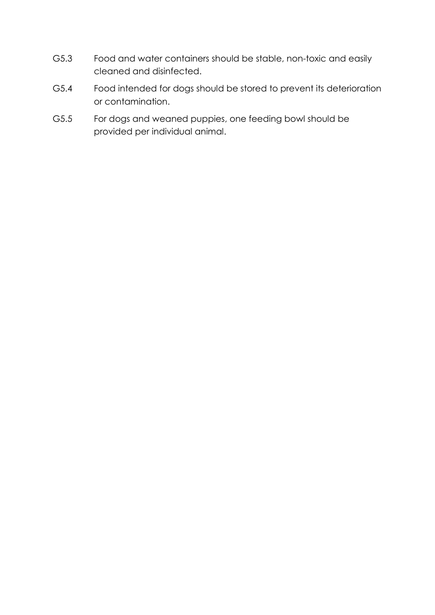- G5.3 Food and water containers should be stable, non-toxic and easily cleaned and disinfected.
- G5.4 Food intended for dogs should be stored to prevent its deterioration or contamination.
- G5.5 For dogs and weaned puppies, one feeding bowl should be provided per individual animal.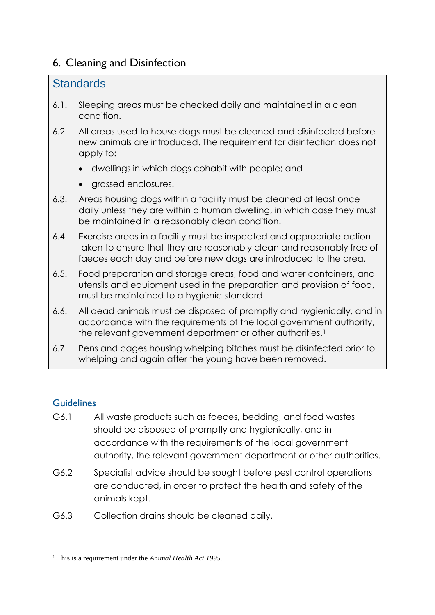# 6. Cleaning and Disinfection

## **Standards**

- 6.1. Sleeping areas must be checked daily and maintained in a clean condition.
- 6.2. All areas used to house dogs must be cleaned and disinfected before new animals are introduced. The requirement for disinfection does not apply to:
	- dwellings in which dogs cohabit with people; and
	- grassed enclosures.
- 6.3. Areas housing dogs within a facility must be cleaned at least once daily unless they are within a human dwelling, in which case they must be maintained in a reasonably clean condition.
- 6.4. Exercise areas in a facility must be inspected and appropriate action taken to ensure that they are reasonably clean and reasonably free of faeces each day and before new dogs are introduced to the area.
- 6.5. Food preparation and storage areas, food and water containers, and utensils and equipment used in the preparation and provision of food, must be maintained to a hygienic standard.
- 6.6. All dead animals must be disposed of promptly and hygienically, and in accordance with the requirements of the local government authority, the relevant government department or other authorities.<sup>1</sup>
- 6.7. Pens and cages housing whelping bitches must be disinfected prior to whelping and again after the young have been removed.

- G6.1 All waste products such as faeces, bedding, and food wastes should be disposed of promptly and hygienically, and in accordance with the requirements of the local government authority, the relevant government department or other authorities.
- G6.2 Specialist advice should be sought before pest control operations are conducted, in order to protect the health and safety of the animals kept.
- G6.3 Collection drains should be cleaned daily.

**<sup>.</sup>** <sup>1</sup> This is a requirement under the *Animal Health Act 1995.*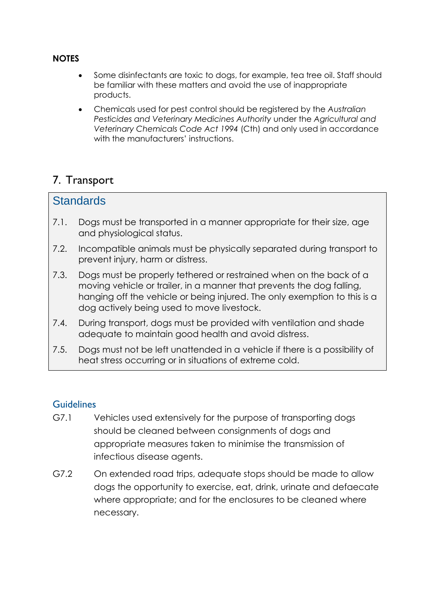#### **NOTES**

- Some disinfectants are toxic to dogs, for example, tea tree oil. Staff should be familiar with these matters and avoid the use of inappropriate products.
- Chemicals used for pest control should be registered by the *Australian Pesticides and Veterinary Medicines Authority* under the *Agricultural and Veterinary Chemicals Code Act 1994* (Cth) and only used in accordance with the manufacturers' instructions.

### 7. Transport

#### **Standards**

- 7.1. Dogs must be transported in a manner appropriate for their size, age and physiological status.
- 7.2. Incompatible animals must be physically separated during transport to prevent injury, harm or distress.
- 7.3. Dogs must be properly tethered or restrained when on the back of a moving vehicle or trailer, in a manner that prevents the dog falling, hanging off the vehicle or being injured. The only exemption to this is a dog actively being used to move livestock.
- 7.4. During transport, dogs must be provided with ventilation and shade adequate to maintain good health and avoid distress.
- 7.5. Dogs must not be left unattended in a vehicle if there is a possibility of heat stress occurring or in situations of extreme cold.

- G7.1 Vehicles used extensively for the purpose of transporting dogs should be cleaned between consignments of dogs and appropriate measures taken to minimise the transmission of infectious disease agents.
- G7.2 On extended road trips, adequate stops should be made to allow dogs the opportunity to exercise, eat, drink, urinate and defaecate where appropriate; and for the enclosures to be cleaned where necessary.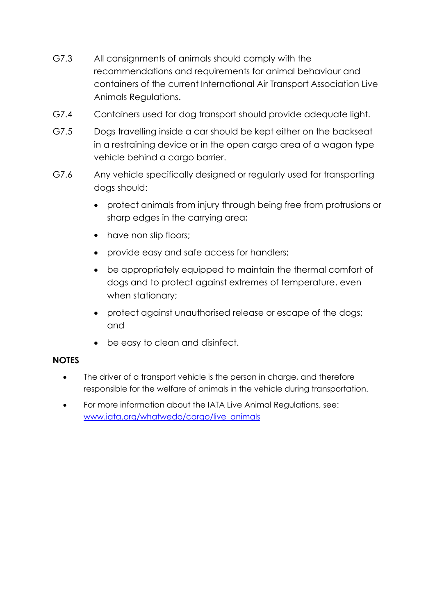- G7.3 All consignments of animals should comply with the recommendations and requirements for animal behaviour and containers of the current International Air Transport Association Live Animals Regulations.
- G7.4 Containers used for dog transport should provide adequate light.
- G7.5 Dogs travelling inside a car should be kept either on the backseat in a restraining device or in the open cargo area of a wagon type vehicle behind a cargo barrier.
- G7.6 Any vehicle specifically designed or regularly used for transporting dogs should:
	- protect animals from injury through being free from protrusions or sharp edges in the carrying area;
	- have non slip floors;
	- provide easy and safe access for handlers;
	- be appropriately equipped to maintain the thermal comfort of dogs and to protect against extremes of temperature, even when stationary;
	- protect against unauthorised release or escape of the dogs; and
	- be easy to clean and disinfect.

#### **NOTES**

- The driver of a transport vehicle is the person in charge, and therefore responsible for the welfare of animals in the vehicle during transportation.
- For more information about the IATA Live Animal Regulations, see: [www.iata.org/whatwedo/cargo/live\\_animals](http://www.iata.org/whatwedo/cargo/live_animals)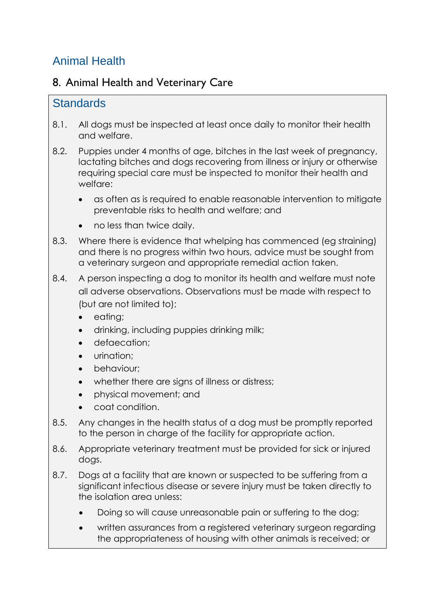# Animal Health

## 8. Animal Health and Veterinary Care

### **Standards**

- 8.1. All dogs must be inspected at least once daily to monitor their health and welfare.
- 8.2. Puppies under 4 months of age, bitches in the last week of pregnancy, lactating bitches and dogs recovering from illness or injury or otherwise requiring special care must be inspected to monitor their health and welfare:
	- as often as is required to enable reasonable intervention to mitigate preventable risks to health and welfare; and
	- no less than twice daily.
- 8.3. Where there is evidence that whelping has commenced (eg straining) and there is no progress within two hours, advice must be sought from a veterinary surgeon and appropriate remedial action taken.
- 8.4. A person inspecting a dog to monitor its health and welfare must note all adverse observations. Observations must be made with respect to (but are not limited to);
	- eating;
	- drinking, including puppies drinking milk;
	- defaecation;
	- urination;
	- behaviour;
	- whether there are signs of illness or distress;
	- physical movement; and
	- coat condition.
- 8.5. Any changes in the health status of a dog must be promptly reported to the person in charge of the facility for appropriate action.
- 8.6. Appropriate veterinary treatment must be provided for sick or injured dogs.
- 8.7. Dogs at a facility that are known or suspected to be suffering from a significant infectious disease or severe injury must be taken directly to the isolation area unless:
	- Doing so will cause unreasonable pain or suffering to the dog;
	- written assurances from a registered veterinary surgeon regarding the appropriateness of housing with other animals is received; or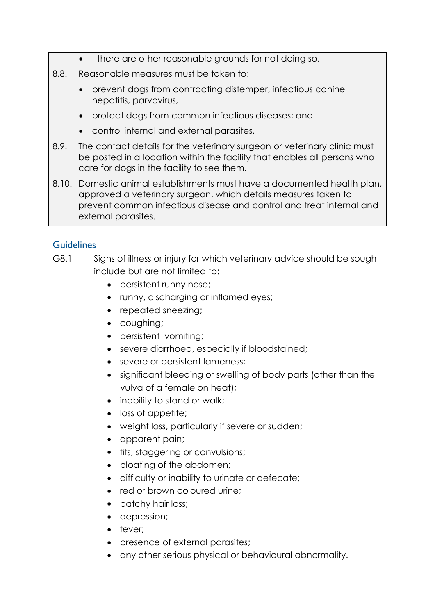- there are other reasonable grounds for not doing so.
- 8.8. Reasonable measures must be taken to:
	- prevent dogs from contracting distemper, infectious canine hepatitis, parvovirus,
	- protect dogs from common infectious diseases; and
	- control internal and external parasites.
- 8.9. The contact details for the veterinary surgeon or veterinary clinic must be posted in a location within the facility that enables all persons who care for dogs in the facility to see them.
- 8.10. Domestic animal establishments must have a documented health plan, approved a veterinary surgeon, which details measures taken to prevent common infectious disease and control and treat internal and external parasites.

- G8.1 Signs of illness or injury for which veterinary advice should be sought include but are not limited to:
	- persistent runny nose:
	- runny, discharging or inflamed eyes;
	- repeated sneezing;
	- coughing;
	- persistent vomiting;
	- severe diarrhoea, especially if bloodstained;
	- severe or persistent lameness;
	- significant bleeding or swelling of body parts (other than the vulva of a female on heat);
	- inability to stand or walk;
	- loss of appetite;
	- weight loss, particularly if severe or sudden;
	- apparent pain;
	- **fits, staggering or convulsions;**
	- bloating of the abdomen;
	- difficulty or inability to urinate or defecate;
	- red or brown coloured urine;
	- patchy hair loss;
	- depression;
	- fever;
	- presence of external parasites;
	- any other serious physical or behavioural abnormality.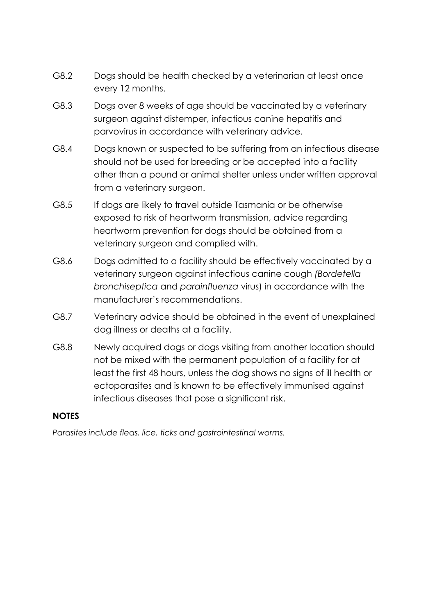- G8.2 Dogs should be health checked by a veterinarian at least once every 12 months.
- G8.3 Dogs over 8 weeks of age should be vaccinated by a veterinary surgeon against distemper, infectious canine hepatitis and parvovirus in accordance with veterinary advice.
- G8.4 Dogs known or suspected to be suffering from an infectious disease should not be used for breeding or be accepted into a facility other than a pound or animal shelter unless under written approval from a veterinary surgeon.
- G8.5 If dogs are likely to travel outside Tasmania or be otherwise exposed to risk of heartworm transmission, advice regarding heartworm prevention for dogs should be obtained from a veterinary surgeon and complied with.
- G8.6 Dogs admitted to a facility should be effectively vaccinated by a veterinary surgeon against infectious canine cough *(Bordetella bronchiseptica* and *parainfluenza* virus) in accordance with the manufacturer's recommendations.
- G8.7 Veterinary advice should be obtained in the event of unexplained dog illness or deaths at a facility.
- G8.8 Newly acquired dogs or dogs visiting from another location should not be mixed with the permanent population of a facility for at least the first 48 hours, unless the dog shows no signs of ill health or ectoparasites and is known to be effectively immunised against infectious diseases that pose a significant risk.

#### **NOTES**

*Parasites include fleas, lice, ticks and gastrointestinal worms.*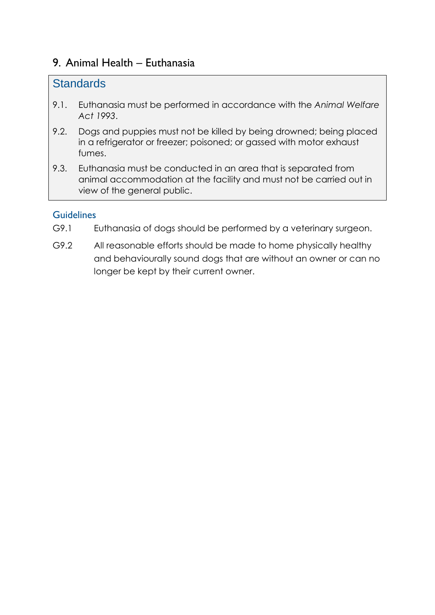### 9. Animal Health – Euthanasia

### **Standards**

- 9.1. Euthanasia must be performed in accordance with the *Animal Welfare Act 1993*.
- 9.2. Dogs and puppies must not be killed by being drowned; being placed in a refrigerator or freezer; poisoned; or gassed with motor exhaust fumes.
- 9.3. Euthanasia must be conducted in an area that is separated from animal accommodation at the facility and must not be carried out in view of the general public.

- G9.1 Euthanasia of dogs should be performed by a veterinary surgeon.
- G9.2 All reasonable efforts should be made to home physically healthy and behaviourally sound dogs that are without an owner or can no longer be kept by their current owner.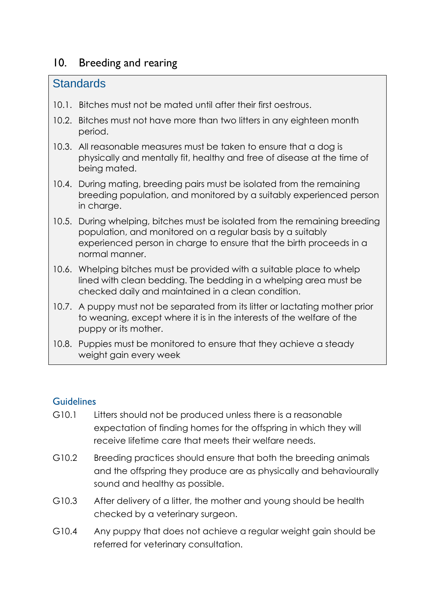## 10. Breeding and rearing

### **Standards**

- 10.1. Bitches must not be mated until after their first oestrous.
- 10.2. Bitches must not have more than two litters in any eighteen month period.
- 10.3. All reasonable measures must be taken to ensure that a dog is physically and mentally fit, healthy and free of disease at the time of being mated.
- 10.4. During mating, breeding pairs must be isolated from the remaining breeding population, and monitored by a suitably experienced person in charge.
- 10.5. During whelping, bitches must be isolated from the remaining breeding population, and monitored on a regular basis by a suitably experienced person in charge to ensure that the birth proceeds in a normal manner.
- 10.6. Whelping bitches must be provided with a suitable place to whelp lined with clean bedding. The bedding in a whelping area must be checked daily and maintained in a clean condition.
- 10.7. A puppy must not be separated from its litter or lactating mother prior to weaning, except where it is in the interests of the welfare of the puppy or its mother.
- 10.8. Puppies must be monitored to ensure that they achieve a steady weight gain every week

- G10.1 Litters should not be produced unless there is a reasonable expectation of finding homes for the offspring in which they will receive lifetime care that meets their welfare needs.
- G10.2 Breeding practices should ensure that both the breeding animals and the offspring they produce are as physically and behaviourally sound and healthy as possible.
- G10.3 After delivery of a litter, the mother and young should be health checked by a veterinary surgeon.
- G10.4 Any puppy that does not achieve a regular weight gain should be referred for veterinary consultation.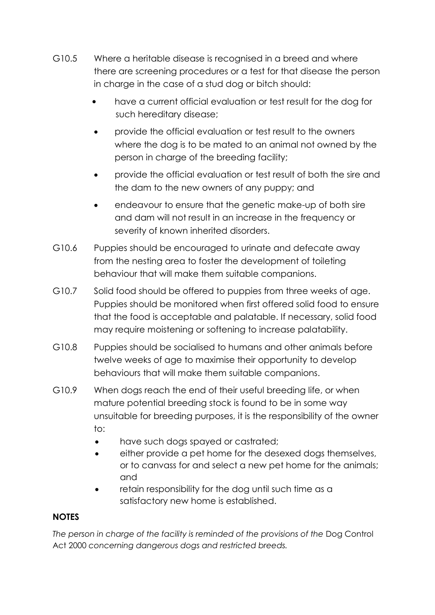- G10.5 Where a heritable disease is recognised in a breed and where there are screening procedures or a test for that disease the person in charge in the case of a stud dog or bitch should:
	- have a current official evaluation or test result for the dog for such hereditary disease;
	- provide the official evaluation or test result to the owners where the dog is to be mated to an animal not owned by the person in charge of the breeding facility;
	- provide the official evaluation or test result of both the sire and the dam to the new owners of any puppy; and
	- endeavour to ensure that the genetic make-up of both sire and dam will not result in an increase in the frequency or severity of known inherited disorders.
- G10.6 Puppies should be encouraged to urinate and defecate away from the nesting area to foster the development of toileting behaviour that will make them suitable companions.
- G10.7 Solid food should be offered to puppies from three weeks of age. Puppies should be monitored when first offered solid food to ensure that the food is acceptable and palatable. If necessary, solid food may require moistening or softening to increase palatability.
- G10.8 Puppies should be socialised to humans and other animals before twelve weeks of age to maximise their opportunity to develop behaviours that will make them suitable companions.
- G10.9 When dogs reach the end of their useful breeding life, or when mature potential breeding stock is found to be in some way unsuitable for breeding purposes, it is the responsibility of the owner to:
	- have such dogs spayed or castrated;
	- either provide a pet home for the desexed dogs themselves, or to canvass for and select a new pet home for the animals; and
	- retain responsibility for the dog until such time as a satisfactory new home is established.

#### **NOTES**

The person in charge of the facility is reminded of the provisions of the Dog Control Act 2000 *concerning dangerous dogs and restricted breeds.*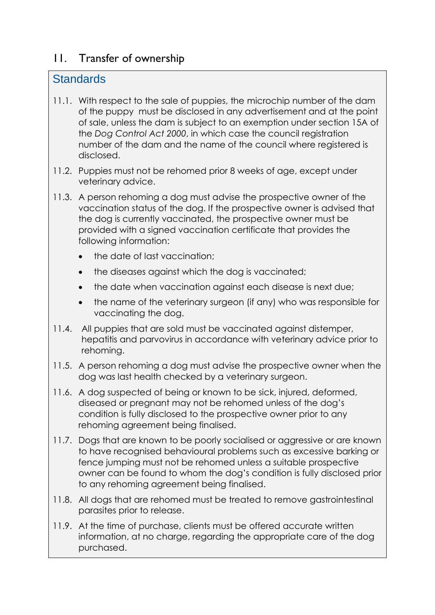## 11. Transfer of ownership

### **Standards**

- 11.1. With respect to the sale of puppies, the microchip number of the dam of the puppy must be disclosed in any advertisement and at the point of sale, unless the dam is subject to an exemption under section 15A of the *Dog Control Act 2000*, in which case the council registration number of the dam and the name of the council where registered is disclosed.
- 11.2. Puppies must not be rehomed prior 8 weeks of age, except under veterinary advice.
- 11.3. A person rehoming a dog must advise the prospective owner of the vaccination status of the dog. If the prospective owner is advised that the dog is currently vaccinated, the prospective owner must be provided with a signed vaccination certificate that provides the following information:
	- the date of last vaccination;
	- the diseases against which the dog is vaccinated;
	- the date when vaccination against each disease is next due;
	- the name of the veterinary surgeon (if any) who was responsible for vaccinating the dog.
- 11.4. All puppies that are sold must be vaccinated against distemper, hepatitis and parvovirus in accordance with veterinary advice prior to rehoming.
- 11.5. A person rehoming a dog must advise the prospective owner when the dog was last health checked by a veterinary surgeon.
- 11.6. A dog suspected of being or known to be sick, injured, deformed, diseased or pregnant may not be rehomed unless of the dog's condition is fully disclosed to the prospective owner prior to any rehoming agreement being finalised.
- 11.7. Dogs that are known to be poorly socialised or aggressive or are known to have recognised behavioural problems such as excessive barking or fence jumping must not be rehomed unless a suitable prospective owner can be found to whom the dog's condition is fully disclosed prior to any rehoming agreement being finalised.
- 11.8. All dogs that are rehomed must be treated to remove gastrointestinal parasites prior to release.
- 11.9. At the time of purchase, clients must be offered accurate written information, at no charge, regarding the appropriate care of the dog purchased.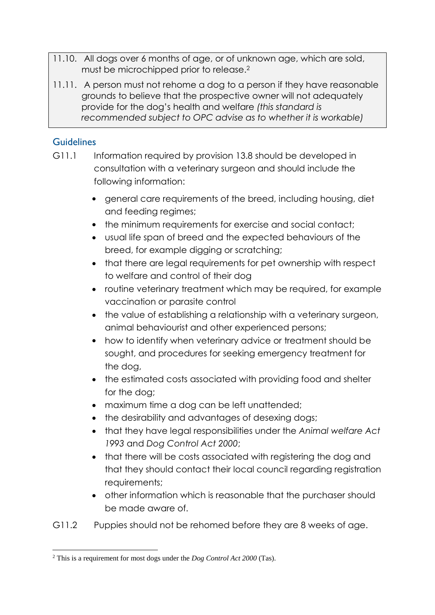- 11.10. All dogs over 6 months of age, or of unknown age, which are sold, must be microchipped prior to release.<sup>2</sup>
- 11.11. A person must not rehome a dog to a person if they have reasonable grounds to believe that the prospective owner will not adequately provide for the dog's health and welfare *(this standard is recommended subject to OPC advise as to whether it is workable)*

- G11.1 Information required by provision 13.8 should be developed in consultation with a veterinary surgeon and should include the following information:
	- general care requirements of the breed, including housing, diet and feeding regimes;
	- the minimum requirements for exercise and social contact;
	- usual life span of breed and the expected behaviours of the breed, for example digging or scratching;
	- that there are legal requirements for pet ownership with respect to welfare and control of their dog
	- routine veterinary treatment which may be required, for example vaccination or parasite control
	- the value of establishing a relationship with a veterinary surgeon, animal behaviourist and other experienced persons;
	- how to identify when veterinary advice or treatment should be sought, and procedures for seeking emergency treatment for the dog,
	- the estimated costs associated with providing food and shelter for the dog;
	- maximum time a dog can be left unattended:
	- the desirability and advantages of desexing dogs;
	- that they have legal responsibilities under the *Animal welfare Act 1993* and *Dog Control Act 2000*;
	- that there will be costs associated with registering the dog and that they should contact their local council regarding registration requirements;
	- other information which is reasonable that the purchaser should be made aware of.
- G11.2 Puppies should not be rehomed before they are 8 weeks of age.

**<sup>.</sup>** <sup>2</sup> This is a requirement for most dogs under the *Dog Control Act 2000* (Tas).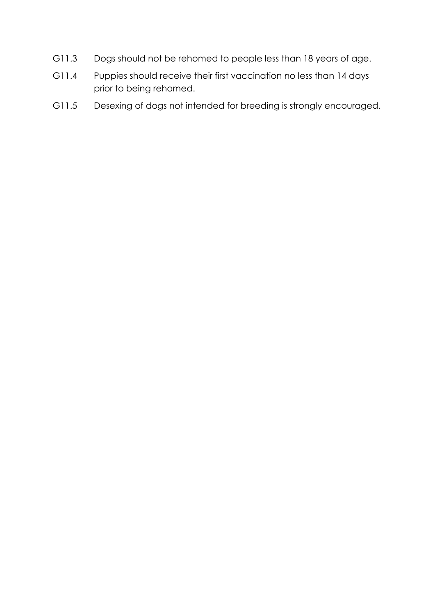- G11.3 Dogs should not be rehomed to people less than 18 years of age.
- G11.4 Puppies should receive their first vaccination no less than 14 days prior to being rehomed.
- G11.5 Desexing of dogs not intended for breeding is strongly encouraged.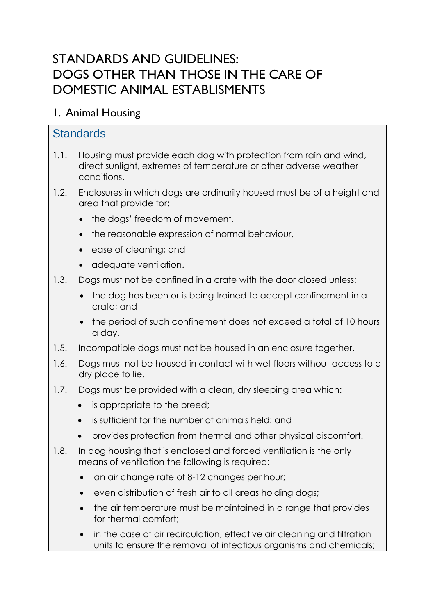# STANDARDS AND GUIDELINES: DOGS OTHER THAN THOSE IN THE CARE OF DOMESTIC ANIMAL ESTABLISMENTS

## 1. Animal Housing

## **Standards**

- 1.1. Housing must provide each dog with protection from rain and wind, direct sunlight, extremes of temperature or other adverse weather conditions.
- 1.2. Enclosures in which dogs are ordinarily housed must be of a height and area that provide for:
	- the dogs' freedom of movement,
	- the reasonable expression of normal behaviour,
	- ease of cleaning; and
	- adequate ventilation.
- 1.3. Dogs must not be confined in a crate with the door closed unless:
	- the dog has been or is being trained to accept confinement in a crate; and
	- the period of such confinement does not exceed a total of 10 hours a day.
- 1.5. Incompatible dogs must not be housed in an enclosure together.
- 1.6. Dogs must not be housed in contact with wet floors without access to a dry place to lie.
- 1.7. Dogs must be provided with a clean, dry sleeping area which:
	- is appropriate to the breed:
	- is sufficient for the number of animals held: and
	- provides protection from thermal and other physical discomfort.
- 1.8. In dog housing that is enclosed and forced ventilation is the only means of ventilation the following is required:
	- an air change rate of 8-12 changes per hour;
	- even distribution of fresh air to all areas holding dogs;
	- the air temperature must be maintained in a range that provides for thermal comfort;
	- in the case of air recirculation, effective air cleaning and filtration units to ensure the removal of infectious organisms and chemicals;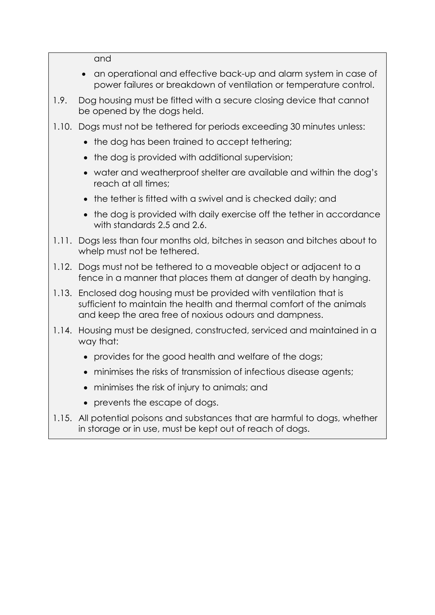and

- an operational and effective back-up and alarm system in case of power failures or breakdown of ventilation or temperature control.
- 1.9. Dog housing must be fitted with a secure closing device that cannot be opened by the dogs held.
- 1.10. Dogs must not be tethered for periods exceeding 30 minutes unless:
	- the dog has been trained to accept tethering;
	- the dog is provided with additional supervision;
	- water and weatherproof shelter are available and within the dog's reach at all times;
	- the tether is fitted with a swivel and is checked daily; and
	- the dog is provided with daily exercise off the tether in accordance with standards 2.5 and 2.6.
- 1.11. Dogs less than four months old, bitches in season and bitches about to whelp must not be tethered.
- 1.12. Dogs must not be tethered to a moveable object or adjacent to a fence in a manner that places them at danger of death by hanging.
- 1.13. Enclosed dog housing must be provided with ventilation that is sufficient to maintain the health and thermal comfort of the animals and keep the area free of noxious odours and dampness.
- 1.14. Housing must be designed, constructed, serviced and maintained in a way that:
	- provides for the good health and welfare of the dogs;
	- minimises the risks of transmission of infectious disease agents;
	- minimises the risk of injury to animals; and
	- prevents the escape of dogs.
- 1.15. All potential poisons and substances that are harmful to dogs, whether in storage or in use, must be kept out of reach of dogs.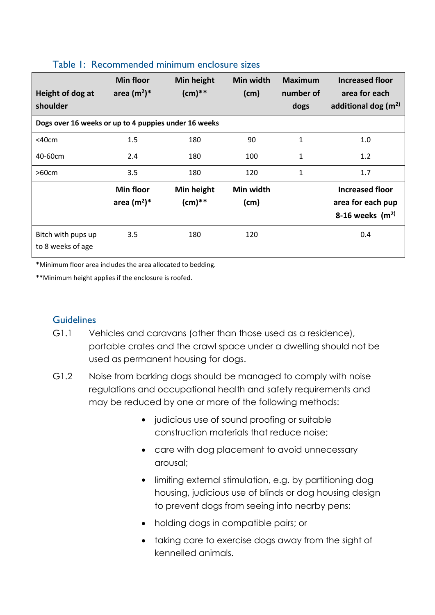| Height of dog at<br>shoulder                         | <b>Min floor</b><br>area $(m^2)^*$ | Min height<br>$(cm)**$ | Min width<br>(cm) | <b>Maximum</b><br>number of<br>dogs | <b>Increased floor</b><br>area for each<br>additional dog $(m2)$ |  |  |
|------------------------------------------------------|------------------------------------|------------------------|-------------------|-------------------------------------|------------------------------------------------------------------|--|--|
| Dogs over 16 weeks or up to 4 puppies under 16 weeks |                                    |                        |                   |                                     |                                                                  |  |  |
| $<$ 40 $cm$                                          | 1.5                                | 180                    | 90                | $\mathbf{1}$                        | 1.0                                                              |  |  |
| 40-60cm                                              | 2.4                                | 180                    | 100               | 1                                   | 1.2                                                              |  |  |
| >60cm                                                | 3.5                                | 180                    | 120               | 1                                   | 1.7                                                              |  |  |
|                                                      | <b>Min floor</b><br>area $(m^2)^*$ | Min height<br>$(cm)**$ | Min width<br>(cm) |                                     | <b>Increased floor</b><br>area for each pup<br>8-16 weeks $(m2)$ |  |  |
| Bitch with pups up<br>to 8 weeks of age              | 3.5                                | 180                    | 120               |                                     | 0.4                                                              |  |  |

#### Table 1: Recommended minimum enclosure sizes

\*Minimum floor area includes the area allocated to bedding.

\*\*Minimum height applies if the enclosure is roofed.

- G1.1 Vehicles and caravans (other than those used as a residence), portable crates and the crawl space under a dwelling should not be used as permanent housing for dogs.
- G1.2 Noise from barking dogs should be managed to comply with noise regulations and occupational health and safety requirements and may be reduced by one or more of the following methods:
	- judicious use of sound proofing or suitable construction materials that reduce noise;
	- care with dog placement to avoid unnecessary arousal;
	- limiting external stimulation, e.g. by partitioning dog housing, judicious use of blinds or dog housing design to prevent dogs from seeing into nearby pens;
	- holding dogs in compatible pairs; or
	- taking care to exercise dogs away from the sight of kennelled animals.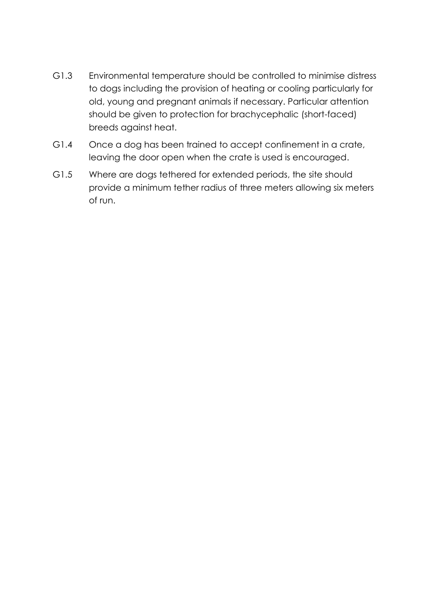- G1.3 Environmental temperature should be controlled to minimise distress to dogs including the provision of heating or cooling particularly for old, young and pregnant animals if necessary. Particular attention should be given to protection for brachycephalic (short-faced) breeds against heat.
- G1.4 Once a dog has been trained to accept confinement in a crate, leaving the door open when the crate is used is encouraged.
- G1.5 Where are dogs tethered for extended periods, the site should provide a minimum tether radius of three meters allowing six meters of run.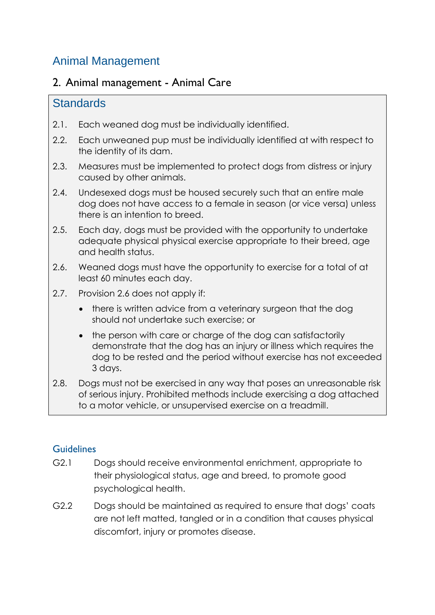# Animal Management

### 2. Animal management - Animal Care

### **Standards**

- 2.1. Each weaned dog must be individually identified.
- 2.2. Each unweaned pup must be individually identified at with respect to the identity of its dam.
- 2.3. Measures must be implemented to protect dogs from distress or injury caused by other animals.
- 2.4. Undesexed dogs must be housed securely such that an entire male dog does not have access to a female in season (or vice versa) unless there is an intention to breed.
- 2.5. Each day, dogs must be provided with the opportunity to undertake adequate physical physical exercise appropriate to their breed, age and health status.
- 2.6. Weaned dogs must have the opportunity to exercise for a total of at least 60 minutes each day.
- 2.7. Provision 2.6 does not apply if:
	- there is written advice from a veterinary surgeon that the dog should not undertake such exercise; or
	- the person with care or charge of the dog can satisfactorily demonstrate that the dog has an injury or illness which requires the dog to be rested and the period without exercise has not exceeded 3 days.
- 2.8. Dogs must not be exercised in any way that poses an unreasonable risk of serious injury. Prohibited methods include exercising a dog attached to a motor vehicle, or unsupervised exercise on a treadmill.

- G2.1 Dogs should receive environmental enrichment, appropriate to their physiological status, age and breed, to promote good psychological health.
- G2.2 Dogs should be maintained as required to ensure that dogs' coats are not left matted, tangled or in a condition that causes physical discomfort, injury or promotes disease.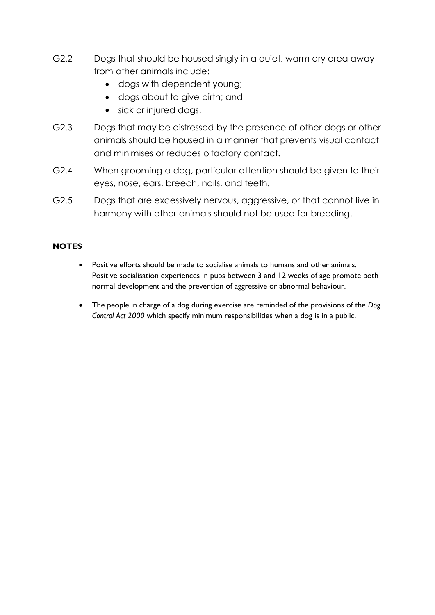- G2.2 Dogs that should be housed singly in a quiet, warm dry area away from other animals include:
	- dogs with dependent young;
	- dogs about to give birth; and
	- sick or injured dogs.
- G2.3 Dogs that may be distressed by the presence of other dogs or other animals should be housed in a manner that prevents visual contact and minimises or reduces olfactory contact.
- G2.4 When grooming a dog, particular attention should be given to their eyes, nose, ears, breech, nails, and teeth.
- G2.5 Dogs that are excessively nervous, aggressive, or that cannot live in harmony with other animals should not be used for breeding.

#### **NOTES**

- Positive efforts should be made to socialise animals to humans and other animals. Positive socialisation experiences in pups between 3 and 12 weeks of age promote both normal development and the prevention of aggressive or abnormal behaviour.
- The people in charge of a dog during exercise are reminded of the provisions of the *Dog Control Act 2000* which specify minimum responsibilities when a dog is in a public.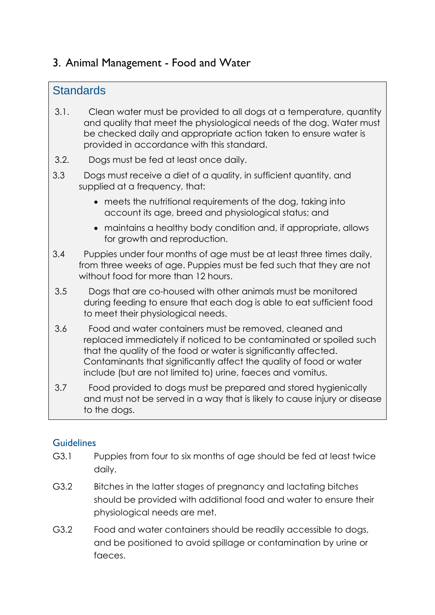## 3. Animal Management - Food and Water

### **Standards**

- 3.1. Clean water must be provided to all dogs at a temperature, quantity and quality that meet the physiological needs of the dog. Water must be checked daily and appropriate action taken to ensure water is provided in accordance with this standard.
- 3.2. Dogs must be fed at least once daily.
- 3.3 Dogs must receive a diet of a quality, in sufficient quantity, and supplied at a frequency, that:
	- meets the nutritional requirements of the dog, taking into account its age, breed and physiological status; and
	- maintains a healthy body condition and, if appropriate, allows for growth and reproduction.
- 3.4 Puppies under four months of age must be at least three times daily, from three weeks of age. Puppies must be fed such that they are not without food for more than 12 hours.
- 3.5 Dogs that are co-housed with other animals must be monitored during feeding to ensure that each dog is able to eat sufficient food to meet their physiological needs.
- 3.6 Food and water containers must be removed, cleaned and replaced immediately if noticed to be contaminated or spoiled such that the quality of the food or water is significantly affected. Contaminants that significantly affect the quality of food or water include (but are not limited to) urine, faeces and vomitus.
- 3.7 Food provided to dogs must be prepared and stored hygienically and must not be served in a way that is likely to cause injury or disease to the dogs.

- G3.1 Puppies from four to six months of age should be fed at least twice daily.
- G3.2 Bitches in the latter stages of pregnancy and lactating bitches should be provided with additional food and water to ensure their physiological needs are met.
- G3.2 Food and water containers should be readily accessible to dogs, and be positioned to avoid spillage or contamination by urine or faeces.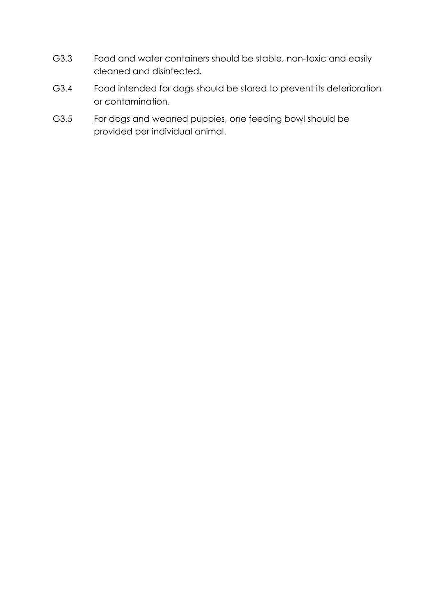- G3.3 Food and water containers should be stable, non-toxic and easily cleaned and disinfected.
- G3.4 Food intended for dogs should be stored to prevent its deterioration or contamination.
- G3.5 For dogs and weaned puppies, one feeding bowl should be provided per individual animal.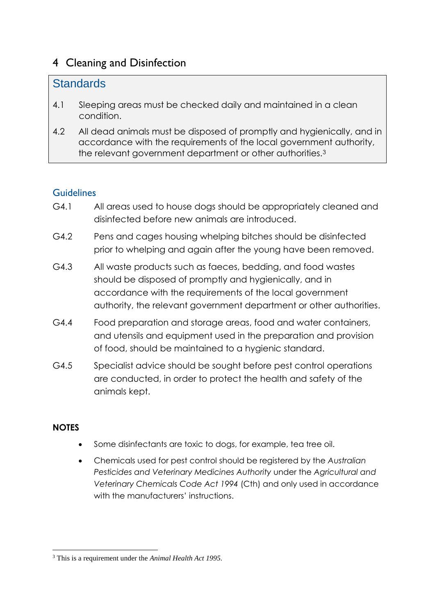## 4 Cleaning and Disinfection

### **Standards**

- 4.1 Sleeping areas must be checked daily and maintained in a clean condition.
- 4.2 All dead animals must be disposed of promptly and hygienically, and in accordance with the requirements of the local government authority, the relevant government department or other authorities.<sup>3</sup>

#### Guidelines

- G4.1 All areas used to house dogs should be appropriately cleaned and disinfected before new animals are introduced.
- G4.2 Pens and cages housing whelping bitches should be disinfected prior to whelping and again after the young have been removed.
- G4.3 All waste products such as faeces, bedding, and food wastes should be disposed of promptly and hygienically, and in accordance with the requirements of the local government authority, the relevant government department or other authorities.
- G4.4 Food preparation and storage areas, food and water containers, and utensils and equipment used in the preparation and provision of food, should be maintained to a hygienic standard.
- G4.5 Specialist advice should be sought before pest control operations are conducted, in order to protect the health and safety of the animals kept.

#### **NOTES**

- Some disinfectants are toxic to dogs, for example, tea tree oil.
- Chemicals used for pest control should be registered by the *Australian Pesticides and Veterinary Medicines Authority* under the *Agricultural and Veterinary Chemicals Code Act 1994* (Cth) and only used in accordance with the manufacturers' instructions.

**<sup>.</sup>** <sup>3</sup> This is a requirement under the *Animal Health Act 1995.*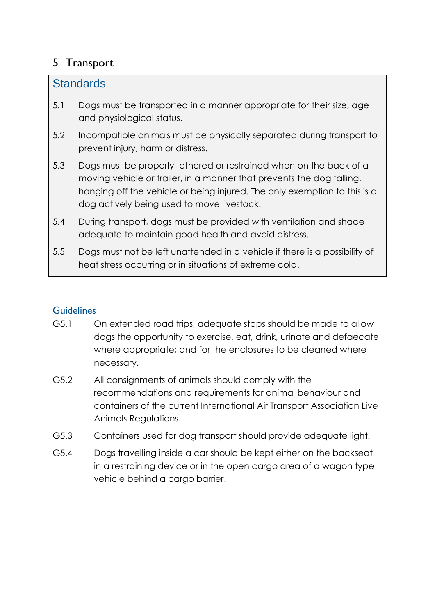## 5 Transport

### **Standards**

- 5.1 Dogs must be transported in a manner appropriate for their size, age and physiological status.
- 5.2 Incompatible animals must be physically separated during transport to prevent injury, harm or distress.
- 5.3 Dogs must be properly tethered or restrained when on the back of a moving vehicle or trailer, in a manner that prevents the dog falling, hanging off the vehicle or being injured. The only exemption to this is a dog actively being used to move livestock.
- 5.4 During transport, dogs must be provided with ventilation and shade adequate to maintain good health and avoid distress.
- 5.5 Dogs must not be left unattended in a vehicle if there is a possibility of heat stress occurring or in situations of extreme cold.

- G5.1 On extended road trips, adequate stops should be made to allow dogs the opportunity to exercise, eat, drink, urinate and defaecate where appropriate; and for the enclosures to be cleaned where necessary.
- G5.2 All consignments of animals should comply with the recommendations and requirements for animal behaviour and containers of the current International Air Transport Association Live Animals Regulations.
- G5.3 Containers used for dog transport should provide adequate light.
- G5.4 Dogs travelling inside a car should be kept either on the backseat in a restraining device or in the open cargo area of a wagon type vehicle behind a cargo barrier.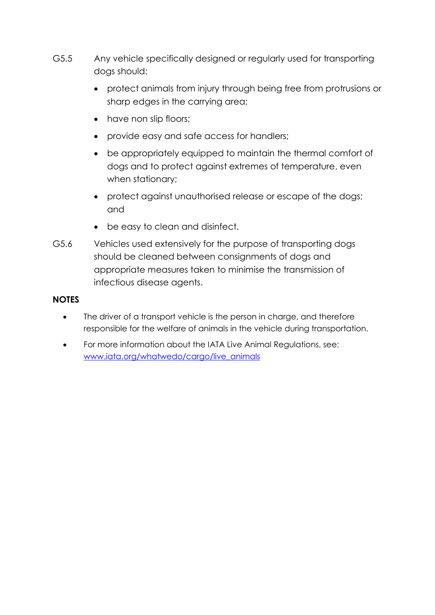- G5.5 Any vehicle specifically designed or regularly used for transporting dogs should:
	- protect animals from injury through being free from protrusions or sharp edges in the carrying area;
	- have non slip floors;
	- provide easy and safe access for handlers;
	- be appropriately equipped to maintain the thermal comfort of dogs and to protect against extremes of temperature, even when stationary;
	- protect against unauthorised release or escape of the dogs; and
	- be easy to clean and disinfect.
- G5.6 Vehicles used extensively for the purpose of transporting dogs should be cleaned between consignments of dogs and appropriate measures taken to minimise the transmission of infectious disease agents.

#### **NOTES**

- The driver of a transport vehicle is the person in charge, and therefore responsible for the welfare of animals in the vehicle during transportation.
- For more information about the IATA Live Animal Regulations, see: [www.iata.org/whatwedo/cargo/live\\_animals](http://www.iata.org/whatwedo/cargo/live_animals)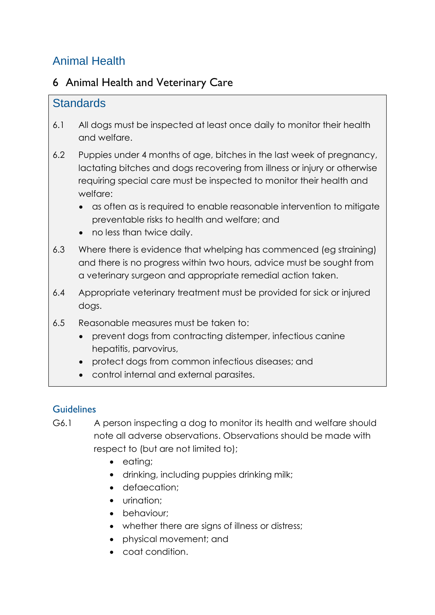# Animal Health

## 6 Animal Health and Veterinary Care

### **Standards**

- 6.1 All dogs must be inspected at least once daily to monitor their health and welfare.
- 6.2 Puppies under 4 months of age, bitches in the last week of pregnancy, lactating bitches and dogs recovering from illness or injury or otherwise requiring special care must be inspected to monitor their health and welfare:
	- as often as is required to enable reasonable intervention to mitigate preventable risks to health and welfare; and
	- no less than twice daily.
- 6.3 Where there is evidence that whelping has commenced (eg straining) and there is no progress within two hours, advice must be sought from a veterinary surgeon and appropriate remedial action taken.
- 6.4 Appropriate veterinary treatment must be provided for sick or injured dogs.
- 6.5 Reasonable measures must be taken to:
	- prevent dogs from contracting distemper, infectious canine hepatitis, parvovirus,
	- protect dogs from common infectious diseases; and
	- control internal and external parasites.

- G6.1 A person inspecting a dog to monitor its health and welfare should note all adverse observations. Observations should be made with respect to (but are not limited to);
	- eating;
	- drinking, including puppies drinking milk;
	- defaecation:
	- urination;
	- behaviour:
	- whether there are signs of illness or distress:
	- physical movement; and
	- coat condition.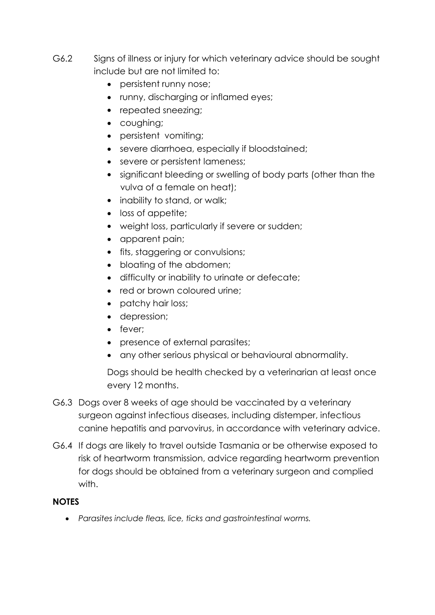- G6.2 Signs of illness or injury for which veterinary advice should be sought include but are not limited to:
	- persistent runny nose;
	- runny, discharging or inflamed eyes;
	- repeated sneezing;
	- coughing;
	- persistent vomiting;
	- severe diarrhoea, especially if bloodstained;
	- severe or persistent lameness;
	- significant bleeding or swelling of body parts (other than the vulva of a female on heat);
	- inability to stand, or walk:
	- loss of appetite;
	- weight loss, particularly if severe or sudden;
	- apparent pain;
	- fits, staggering or convulsions;
	- bloating of the abdomen;
	- difficulty or inability to urinate or defecate;
	- red or brown coloured urine:
	- patchy hair loss;
	- depression:
	- fever:
	- presence of external parasites;
	- any other serious physical or behavioural abnormality.

Dogs should be health checked by a veterinarian at least once every 12 months.

- G6.3 Dogs over 8 weeks of age should be vaccinated by a veterinary surgeon against infectious diseases, including distemper, infectious canine hepatitis and parvovirus, in accordance with veterinary advice.
- G6.4 If dogs are likely to travel outside Tasmania or be otherwise exposed to risk of heartworm transmission, advice regarding heartworm prevention for dogs should be obtained from a veterinary surgeon and complied with.

#### **NOTES**

*Parasites include fleas, lice, ticks and gastrointestinal worms.*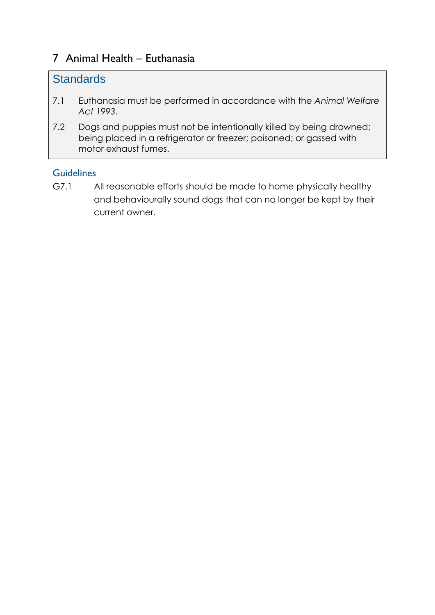### 7 Animal Health – Euthanasia

### **Standards**

- 7.1 Euthanasia must be performed in accordance with the *Animal Welfare Act 1993*.
- 7.2 Dogs and puppies must not be intentionally killed by being drowned; being placed in a refrigerator or freezer; poisoned; or gassed with motor exhaust fumes.

#### **Guidelines**

G7.1 All reasonable efforts should be made to home physically healthy and behaviourally sound dogs that can no longer be kept by their current owner.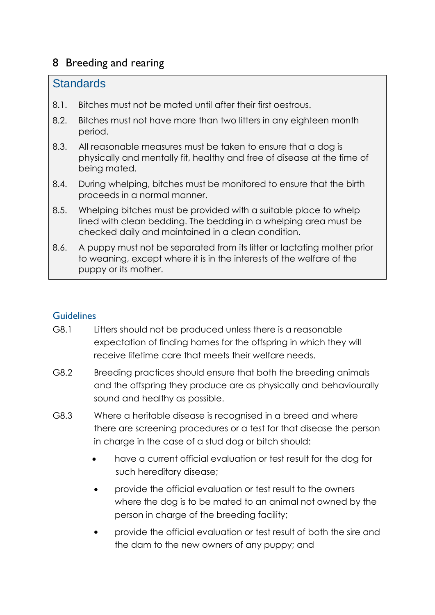## 8 Breeding and rearing

### **Standards**

- 8.1. Bitches must not be mated until after their first oestrous.
- 8.2. Bitches must not have more than two litters in any eighteen month period.
- 8.3. All reasonable measures must be taken to ensure that a dog is physically and mentally fit, healthy and free of disease at the time of being mated.
- 8.4. During whelping, bitches must be monitored to ensure that the birth proceeds in a normal manner.
- 8.5. Whelping bitches must be provided with a suitable place to whelp lined with clean bedding. The bedding in a whelping area must be checked daily and maintained in a clean condition.
- 8.6. A puppy must not be separated from its litter or lactating mother prior to weaning, except where it is in the interests of the welfare of the puppy or its mother.

- G8.1 Litters should not be produced unless there is a reasonable expectation of finding homes for the offspring in which they will receive lifetime care that meets their welfare needs.
- G8.2 Breeding practices should ensure that both the breeding animals and the offspring they produce are as physically and behaviourally sound and healthy as possible.
- G8.3 Where a heritable disease is recognised in a breed and where there are screening procedures or a test for that disease the person in charge in the case of a stud dog or bitch should:
	- have a current official evaluation or test result for the dog for such hereditary disease;
	- provide the official evaluation or test result to the owners where the dog is to be mated to an animal not owned by the person in charge of the breeding facility;
	- provide the official evaluation or test result of both the sire and the dam to the new owners of any puppy; and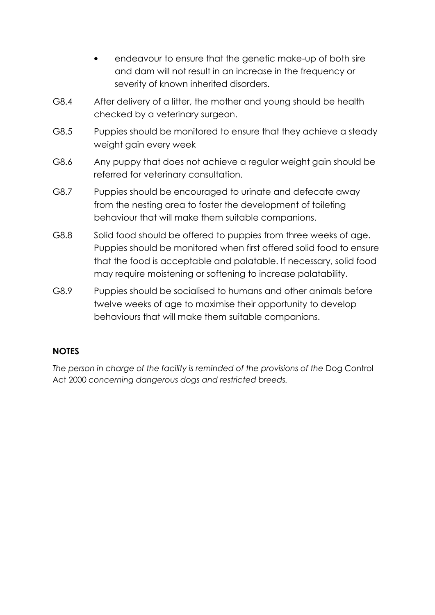- endeavour to ensure that the genetic make-up of both sire and dam will not result in an increase in the frequency or severity of known inherited disorders.
- G8.4 After delivery of a litter, the mother and young should be health checked by a veterinary surgeon.
- G8.5 Puppies should be monitored to ensure that they achieve a steady weight gain every week
- G8.6 Any puppy that does not achieve a regular weight gain should be referred for veterinary consultation.
- G8.7 Puppies should be encouraged to urinate and defecate away from the nesting area to foster the development of toileting behaviour that will make them suitable companions.
- G8.8 Solid food should be offered to puppies from three weeks of age. Puppies should be monitored when first offered solid food to ensure that the food is acceptable and palatable. If necessary, solid food may require moistening or softening to increase palatability.
- G8.9 Puppies should be socialised to humans and other animals before twelve weeks of age to maximise their opportunity to develop behaviours that will make them suitable companions.

#### **NOTES**

The person in charge of the facility is reminded of the provisions of the Dog Control Act 2000 *concerning dangerous dogs and restricted breeds.*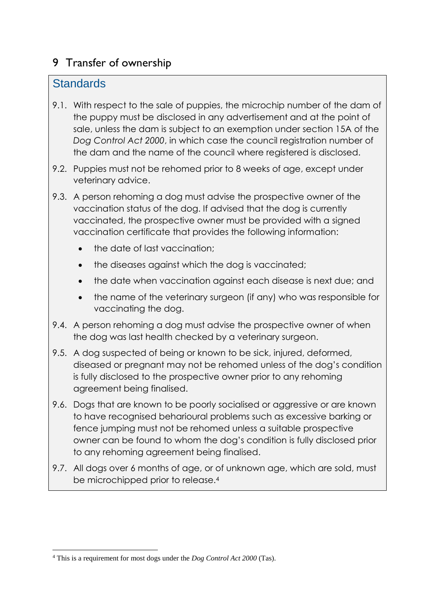## 9 Transfer of ownership

### **Standards**

- 9.1. With respect to the sale of puppies, the microchip number of the dam of the puppy must be disclosed in any advertisement and at the point of sale, unless the dam is subject to an exemption under section 15A of the *Dog Control Act 2000*, in which case the council registration number of the dam and the name of the council where registered is disclosed.
- 9.2. Puppies must not be rehomed prior to 8 weeks of age, except under veterinary advice.
- 9.3. A person rehoming a dog must advise the prospective owner of the vaccination status of the dog. If advised that the dog is currently vaccinated, the prospective owner must be provided with a signed vaccination certificate that provides the following information:
	- the date of last vaccination;
	- the diseases against which the dog is vaccinated;
	- the date when vaccination against each disease is next due; and
	- the name of the veterinary surgeon (if any) who was responsible for vaccinating the dog.
- 9.4. A person rehoming a dog must advise the prospective owner of when the dog was last health checked by a veterinary surgeon.
- 9.5. A dog suspected of being or known to be sick, injured, deformed, diseased or pregnant may not be rehomed unless of the dog's condition is fully disclosed to the prospective owner prior to any rehoming agreement being finalised.
- 9.6. Dogs that are known to be poorly socialised or aggressive or are known to have recognised beharioural problems such as excessive barking or fence jumping must not be rehomed unless a suitable prospective owner can be found to whom the dog's condition is fully disclosed prior to any rehoming agreement being finalised.
- 9.7. All dogs over 6 months of age, or of unknown age, which are sold, must be microchipped prior to release.<sup>4</sup>

**<sup>.</sup>** <sup>4</sup> This is a requirement for most dogs under the *Dog Control Act 2000* (Tas).